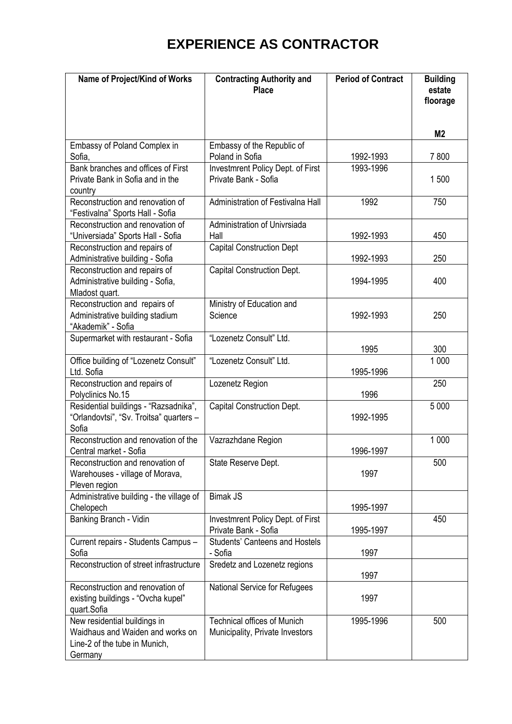## **EXPERIENCE AS CONTRACTOR**

| Name of Project/Kind of Works                                                                                | <b>Contracting Authority and</b><br><b>Place</b>                      | <b>Period of Contract</b> | <b>Building</b><br>estate<br>floorage |
|--------------------------------------------------------------------------------------------------------------|-----------------------------------------------------------------------|---------------------------|---------------------------------------|
|                                                                                                              |                                                                       |                           | M <sub>2</sub>                        |
| Embassy of Poland Complex in<br>Sofia,                                                                       | Embassy of the Republic of<br>Poland in Sofia                         | 1992-1993                 | 7800                                  |
| Bank branches and offices of First<br>Private Bank in Sofia and in the<br>country                            | <b>Investmrent Policy Dept. of First</b><br>Private Bank - Sofia      | 1993-1996                 | 1500                                  |
| Reconstruction and renovation of<br>"Festivalna" Sports Hall - Sofia                                         | Administration of Festivalna Hall                                     | 1992                      | 750                                   |
| Reconstruction and renovation of<br>"Universiada" Sports Hall - Sofia                                        | Administration of Univrsiada<br>Hall                                  | 1992-1993                 | 450                                   |
| Reconstruction and repairs of<br>Administrative building - Sofia                                             | <b>Capital Construction Dept</b>                                      | 1992-1993                 | 250                                   |
| Reconstruction and repairs of<br>Administrative building - Sofia,<br>Mladost quart.                          | <b>Capital Construction Dept.</b>                                     | 1994-1995                 | 400                                   |
| Reconstruction and repairs of<br>Administrative building stadium<br>"Akademik" - Sofia                       | Ministry of Education and<br>Science                                  | 1992-1993                 | 250                                   |
| Supermarket with restaurant - Sofia                                                                          | "Lozenetz Consult" Ltd.                                               | 1995                      | 300                                   |
| Office building of "Lozenetz Consult"<br>Ltd. Sofia                                                          | "Lozenetz Consult" Ltd.                                               | 1995-1996                 | 1 0 0 0                               |
| Reconstruction and repairs of<br>Polyclinics No.15                                                           | Lozenetz Region                                                       | 1996                      | 250                                   |
| Residential buildings - "Razsadnika",<br>"Orlandovtsi", "Sv. Troitsa" quarters -<br>Sofia                    | <b>Capital Construction Dept.</b>                                     | 1992-1995                 | 5 0 0 0                               |
| Reconstruction and renovation of the<br>Central market - Sofia                                               | Vazrazhdane Region                                                    | 1996-1997                 | 1 0 0 0                               |
| Reconstruction and renovation of<br>Warehouses - village of Morava,<br>Pleven region                         | State Reserve Dept.                                                   | 1997                      | 500                                   |
| Administrative building - the village of<br>Chelopech                                                        | <b>Bimak JS</b>                                                       | 1995-1997                 |                                       |
| Banking Branch - Vidin                                                                                       | Investmrent Policy Dept. of First<br>Private Bank - Sofia             | 1995-1997                 | 450                                   |
| Current repairs - Students Campus -<br>Sofia                                                                 | <b>Students' Canteens and Hostels</b><br>- Sofia                      | 1997                      |                                       |
| Reconstruction of street infrastructure                                                                      | Sredetz and Lozenetz regions                                          | 1997                      |                                       |
| Reconstruction and renovation of<br>existing buildings - "Ovcha kupel"<br>quart.Sofia                        | National Service for Refugees                                         | 1997                      |                                       |
| New residential buildings in<br>Waidhaus and Waiden and works on<br>Line-2 of the tube in Munich,<br>Germany | <b>Technical offices of Munich</b><br>Municipality, Private Investors | 1995-1996                 | 500                                   |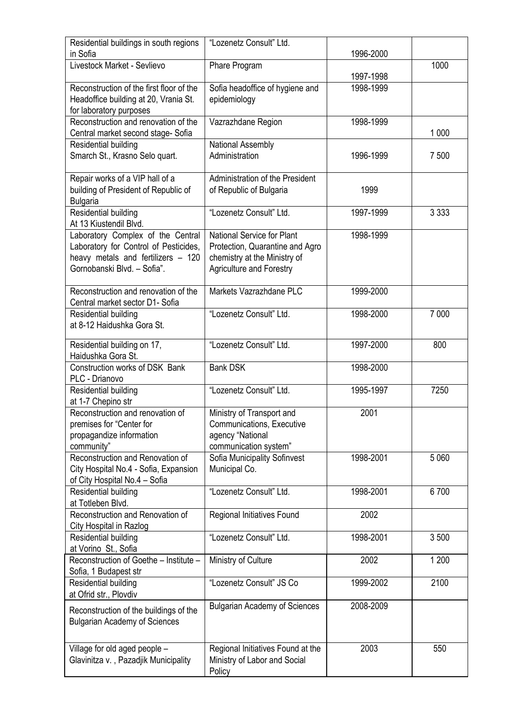| Residential buildings in south regions                       | "Lozenetz Consult" Ltd.                                |           |         |
|--------------------------------------------------------------|--------------------------------------------------------|-----------|---------|
| in Sofia<br>Livestock Market - Sevlievo                      |                                                        | 1996-2000 |         |
|                                                              | Phare Program                                          | 1997-1998 | 1000    |
| Reconstruction of the first floor of the                     | Sofia headoffice of hygiene and                        | 1998-1999 |         |
| Headoffice building at 20, Vrania St.                        | epidemiology                                           |           |         |
| for laboratory purposes                                      |                                                        |           |         |
| Reconstruction and renovation of the                         | Vazrazhdane Region                                     | 1998-1999 |         |
| Central market second stage-Sofia                            |                                                        |           | 1 0 0 0 |
| Residential building                                         | National Assembly                                      |           |         |
| Smarch St., Krasno Selo quart.                               | Administration                                         | 1996-1999 | 7 500   |
|                                                              |                                                        |           |         |
| Repair works of a VIP hall of a                              | Administration of the President                        |           |         |
| building of President of Republic of                         | of Republic of Bulgaria                                | 1999      |         |
| <b>Bulgaria</b><br>Residential building                      | "Lozenetz Consult" Ltd.                                | 1997-1999 | 3 3 3 3 |
| At 13 Kiustendil Blvd.                                       |                                                        |           |         |
| Laboratory Complex of the Central                            | National Service for Plant                             | 1998-1999 |         |
| Laboratory for Control of Pesticides,                        | Protection, Quarantine and Agro                        |           |         |
| heavy metals and fertilizers - 120                           | chemistry at the Ministry of                           |           |         |
| Gornobanski Blvd. - Sofia".                                  | <b>Agriculture and Forestry</b>                        |           |         |
|                                                              |                                                        |           |         |
| Reconstruction and renovation of the                         | Markets Vazrazhdane PLC                                | 1999-2000 |         |
| Central market sector D1- Sofia                              |                                                        |           |         |
| Residential building<br>at 8-12 Haidushka Gora St.           | "Lozenetz Consult" Ltd.                                | 1998-2000 | 7 0 0 0 |
|                                                              |                                                        |           |         |
| Residential building on 17,                                  | "Lozenetz Consult" Ltd.                                | 1997-2000 | 800     |
| Haidushka Gora St.                                           |                                                        |           |         |
| Construction works of DSK Bank                               | <b>Bank DSK</b>                                        | 1998-2000 |         |
| PLC - Drianovo                                               |                                                        |           |         |
| Residential building                                         | "Lozenetz Consult" Ltd.                                | 1995-1997 | 7250    |
| at 1-7 Chepino str                                           |                                                        |           |         |
| Reconstruction and renovation of<br>premises for "Center for | Ministry of Transport and<br>Communications, Executive | 2001      |         |
| propagandize information                                     | agency "National                                       |           |         |
| community"                                                   | communication system"                                  |           |         |
| Reconstruction and Renovation of                             | Sofia Municipality Sofinvest                           | 1998-2001 | 5 0 6 0 |
| City Hospital No.4 - Sofia, Expansion                        | Municipal Co.                                          |           |         |
| of City Hospital No.4 - Sofia                                |                                                        |           |         |
| Residential building                                         | "Lozenetz Consult" Ltd.                                | 1998-2001 | 6700    |
| at Totleben Blvd.                                            |                                                        |           |         |
| Reconstruction and Renovation of                             | Regional Initiatives Found                             | 2002      |         |
| City Hospital in Razlog                                      | "Lozenetz Consult" Ltd.                                | 1998-2001 | 3500    |
| Residential building<br>at Vorino St., Sofia                 |                                                        |           |         |
| Reconstruction of Goethe - Institute -                       | Ministry of Culture                                    | 2002      | 1 200   |
| Sofia, 1 Budapest str                                        |                                                        |           |         |
| Residential building                                         | "Lozenetz Consult" JS Co                               | 1999-2002 | 2100    |
| at Ofrid str., Plovdiv                                       |                                                        |           |         |
| Reconstruction of the buildings of the                       | <b>Bulgarian Academy of Sciences</b>                   | 2008-2009 |         |
| <b>Bulgarian Academy of Sciences</b>                         |                                                        |           |         |
|                                                              |                                                        |           |         |
| Village for old aged people -                                | Regional Initiatives Found at the                      | 2003      | 550     |
| Glavinitza v., Pazadjik Municipality                         | Ministry of Labor and Social                           |           |         |
|                                                              | Policy                                                 |           |         |
|                                                              |                                                        |           |         |